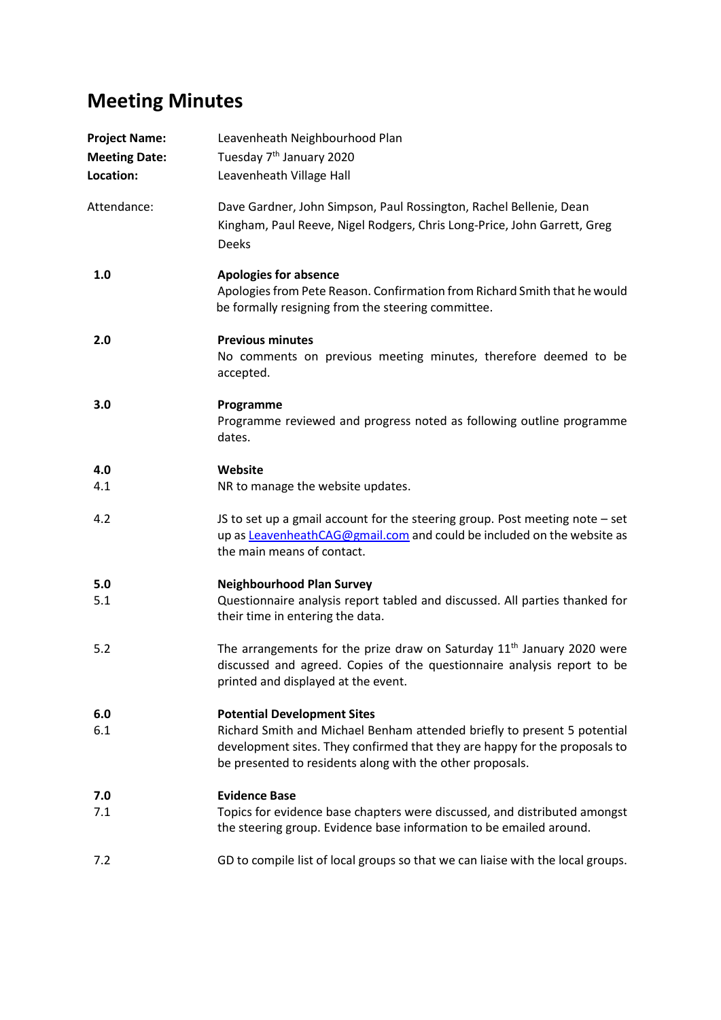## **Meeting Minutes**

| <b>Project Name:</b><br><b>Meeting Date:</b><br>Location: | Leavenheath Neighbourhood Plan<br>Tuesday 7 <sup>th</sup> January 2020<br>Leavenheath Village Hall                                                                                                                                                        |
|-----------------------------------------------------------|-----------------------------------------------------------------------------------------------------------------------------------------------------------------------------------------------------------------------------------------------------------|
| Attendance:                                               | Dave Gardner, John Simpson, Paul Rossington, Rachel Bellenie, Dean<br>Kingham, Paul Reeve, Nigel Rodgers, Chris Long-Price, John Garrett, Greg<br><b>Deeks</b>                                                                                            |
| 1.0                                                       | <b>Apologies for absence</b><br>Apologies from Pete Reason. Confirmation from Richard Smith that he would<br>be formally resigning from the steering committee.                                                                                           |
| 2.0                                                       | <b>Previous minutes</b><br>No comments on previous meeting minutes, therefore deemed to be<br>accepted.                                                                                                                                                   |
| 3.0                                                       | Programme<br>Programme reviewed and progress noted as following outline programme<br>dates.                                                                                                                                                               |
| 4.0<br>4.1                                                | Website<br>NR to manage the website updates.                                                                                                                                                                                                              |
| 4.2                                                       | JS to set up a gmail account for the steering group. Post meeting note - set<br>up as LeavenheathCAG@gmail.com and could be included on the website as<br>the main means of contact.                                                                      |
| 5.0<br>5.1                                                | <b>Neighbourhood Plan Survey</b><br>Questionnaire analysis report tabled and discussed. All parties thanked for<br>their time in entering the data.                                                                                                       |
| 5.2                                                       | The arrangements for the prize draw on Saturday 11 <sup>th</sup> January 2020 were<br>discussed and agreed. Copies of the questionnaire analysis report to be<br>printed and displayed at the event.                                                      |
| 6.0<br>6.1                                                | <b>Potential Development Sites</b><br>Richard Smith and Michael Benham attended briefly to present 5 potential<br>development sites. They confirmed that they are happy for the proposals to<br>be presented to residents along with the other proposals. |
| 7.0<br>7.1                                                | <b>Evidence Base</b><br>Topics for evidence base chapters were discussed, and distributed amongst<br>the steering group. Evidence base information to be emailed around.                                                                                  |
| 7.2                                                       | GD to compile list of local groups so that we can liaise with the local groups.                                                                                                                                                                           |